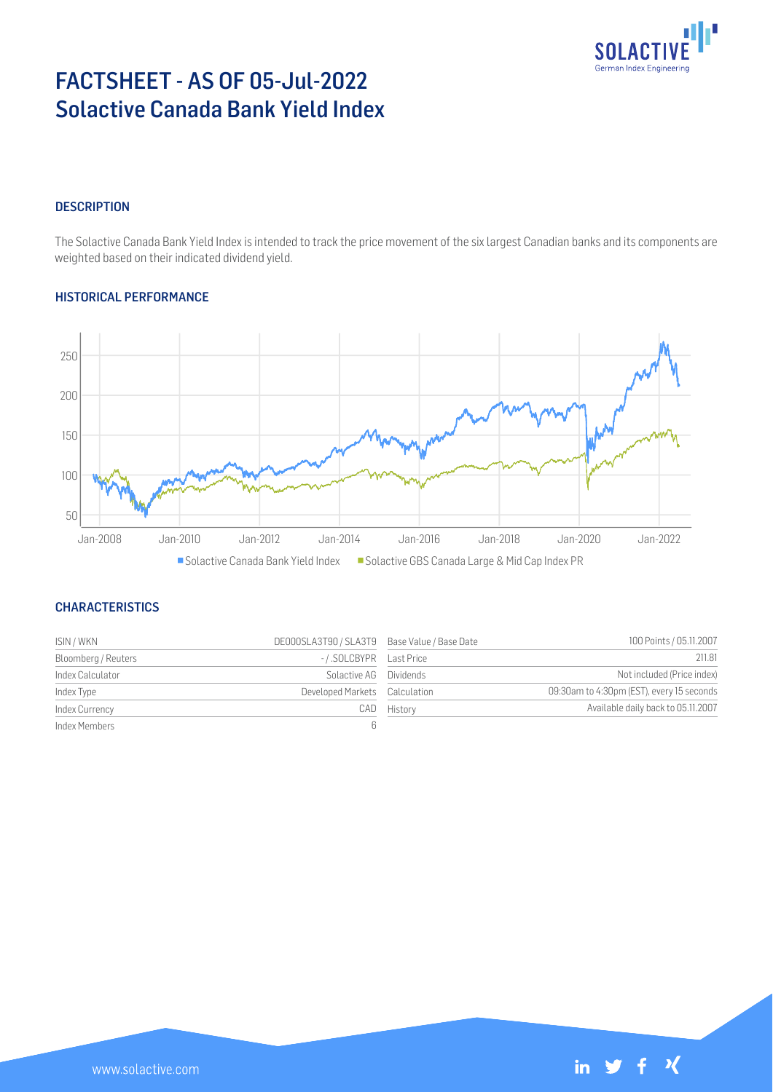

# FACTSHEET - AS OF 05-Jul-2022 Solactive Canada Bank Yield Index

## **DESCRIPTION**

The Solactive Canada Bank Yield Index is intended to track the price movement of the six largest Canadian banks and its components are weighted based on their indicated dividend yield.

#### HISTORICAL PERFORMANCE



#### **CHARACTERISTICS**

| ISIN / WKN          | DE000SLA3T90 / SLA3T9 Base Value / Base Date |         | 100 Points / 05.11.2007                   |
|---------------------|----------------------------------------------|---------|-------------------------------------------|
| Bloomberg / Reuters |                                              |         | 211.81                                    |
| Index Calculator    | Solactive AG Dividends                       |         | Not included (Price index)                |
| Index Type          | Developed Markets Calculation                |         | 09:30am to 4:30pm (EST), every 15 seconds |
| Index Currency      | CAD                                          | History | Available daily back to 05.11.2007        |
| Index Members       | ĥ                                            |         |                                           |

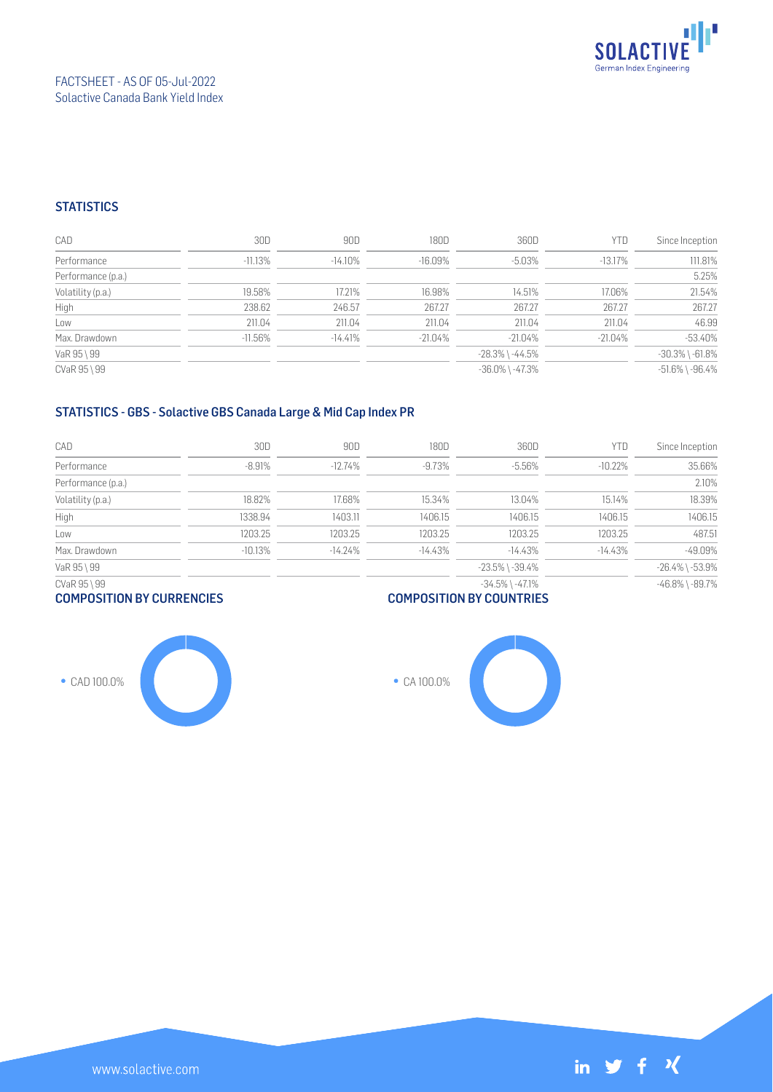

## **STATISTICS**

| CAD                | 30D        | 90D        | 180D      | 360D                  | <b>YTD</b> | Since Inception       |
|--------------------|------------|------------|-----------|-----------------------|------------|-----------------------|
| Performance        | $-11.13%$  | $-14.10\%$ | $-16.09%$ | $-5.03%$              | $-13.17%$  | 111.81%               |
| Performance (p.a.) |            |            |           |                       |            | 5.25%                 |
| Volatility (p.a.)  | 19.58%     | 17.21%     | 16.98%    | 14.51%                | 17.06%     | 21.54%                |
| High               | 238.62     | 246.57     | 267.27    | 267.27                | 267.27     | 267.27                |
| Low                | 211.04     | 211.04     | 211.04    | 211.04                | 211.04     | 46.99                 |
| Max. Drawdown      | $-11.56\%$ | $-14.41%$  | $-21.04%$ | $-21.04\%$            | $-21.04\%$ | $-53.40%$             |
| VaR 95 \ 99        |            |            |           | $-28.3\%$ \ $-44.5\%$ |            | $-30.3\%$ \ $-61.8\%$ |
| CVaR 95 \ 99       |            |            |           | $-36.0\%$ \ $-47.3\%$ |            | $-51.6\%$ \ $-96.4\%$ |

## STATISTICS - GBS - Solactive GBS Canada Large & Mid Cap Index PR

| CAD                | 30D       | 90D       | 180D      | 360D                  | YTD       | Since Inception       |
|--------------------|-----------|-----------|-----------|-----------------------|-----------|-----------------------|
| Performance        | $-8.91%$  | $-12.74%$ | $-9.73%$  | $-5.56%$              | $-10.22%$ | 35.66%                |
| Performance (p.a.) |           |           |           |                       |           | 2.10%                 |
| Volatility (p.a.)  | 18.82%    | 17.68%    | 15.34%    | 13.04%                | 15.14%    | 18.39%                |
| High               | 1338.94   | 1403.11   | 1406.15   | 1406.15               | 1406.15   | 1406.15               |
| Low                | 1203.25   | 1203.25   | 1203.25   | 1203.25               | 1203.25   | 487.51                |
| Max. Drawdown      | $-10.13%$ | $-14.24%$ | $-14.43%$ | $-14.43%$             | $-14.43%$ | $-49.09%$             |
| VaR 95 \ 99        |           |           |           | $-23.5\%$ \ $-39.4\%$ |           | $-26.4\%$ \ $-53.9\%$ |
| CVaR 95 \ 99       |           |           |           | $-34.5\%$ \ $-47.1\%$ |           | $-46.8\%$ \ $-89.7\%$ |

## COMPOSITION BY CURRENCIES





● CA 100.0%

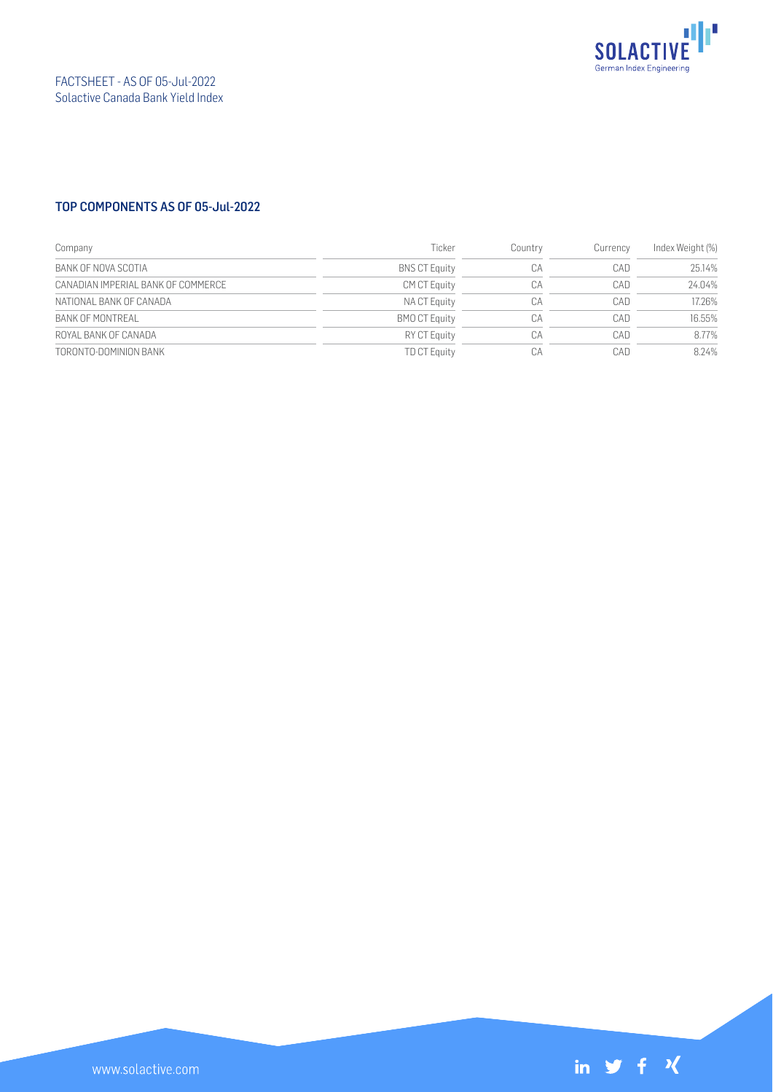

## TOP COMPONENTS AS OF 05-Jul-2022

| Company                            | Ticker               | Country | Currency | Index Weight (%) |
|------------------------------------|----------------------|---------|----------|------------------|
| BANK OF NOVA SCOTIA                | <b>BNS CT Equity</b> | СA      | CAD      | 25.14%           |
| CANADIAN IMPERIAL BANK OF COMMERCE | <b>CM CT Equity</b>  | CA      | CAD      | 24.04%           |
| NATIONAL BANK OF CANADA            | NA CT Equity         | СA      | CAD      | 17.26%           |
| BANK OF MONTREAL                   | <b>BMO CT Equity</b> | СA      | CAD      | 16.55%           |
| ROYAL BANK OF CANADA               | RY CT Equity         | СA      | CAD      | 8.77%            |
| TORONTO-DOMINION BANK              | <b>TD CT Equity</b>  | CA      | CAD      | 8.24%            |